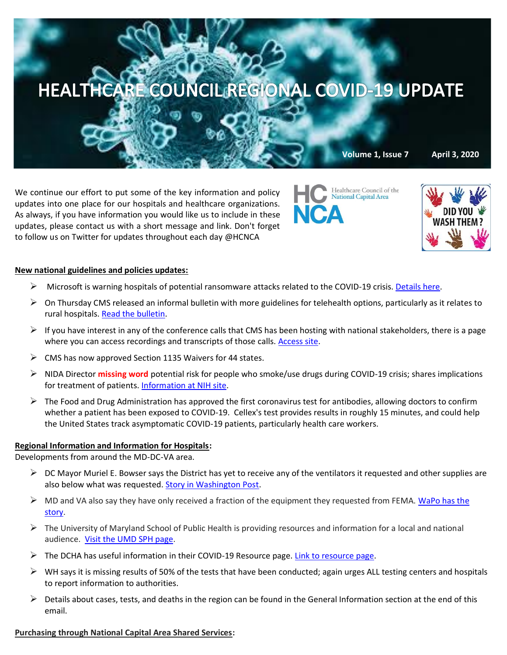

We continue our effort to put some of the key information and policy updates into one place for our hospitals and healthcare organizations. As always, if you have information you would like us to include in these updates, please contact us with a short message and link. Don't forget to follow us on Twitter for updates throughout each day @HCNCA

Healthcare Council of the National Capital Area



### **New national guidelines and policies updates:**

- ➢ Microsoft is warning hospitals of potential ransomware attacks related to the COVID-19 crisis. [Details here.](https://www.law360.com/health/articles/1259485/microsoft-warns-hospitals-vulnerable-to-ransomware-attacks?nl_pk=a286494e-2d18-4627-9c2d-b4ef3cfd0b9f&utm_source=newsletter&utm_medium=email&utm_campaign=health)
- $\triangleright$  On Thursday CMS released an informal bulletin with more guidelines for telehealth options, particularly as it relates to rural hospitals. [Read the bulletin.](https://www.medicaid.gov/sites/default/files/Federal-Policy-Guidance/Downloads/cib040220.pdf)
- $\triangleright$  If you have interest in any of the conference calls that CMS has been hosting with national stakeholders, there is a page where you can access recordings and transcripts of those calls. [Access site.](https://www.cms.gov/Outreach-and-Education/Outreach/OpenDoorForums/PodcastAndTranscripts)
- $\triangleright$  CMS has now approved Section 1135 Waivers for 44 states.
- ➢ NIDA Director **missing word** potential risk for people who smoke/use drugs during COVID-19 crisis; shares implications for treatment of patients. [Information at NIH site.](https://www.nih.gov/news-events/news-releases/nida-director-outlines-potential-risks-people-who-smoke-use-drugs-during-covid-19-pandemic)
- $\triangleright$  The Food and Drug Administration has approved the first coronavirus test for antibodies, allowing doctors to confirm whether a patient has been exposed to COVID-19. Cellex's test provides results in roughly 15 minutes, and could help the United States track asymptomatic COVID-19 patients, particularly health care workers.

# **Regional Information and Information for Hospitals:**

Developments from around the MD-DC-VA area.

- $\triangleright$  DC Mayor Muriel E. Bowser says the District has yet to receive any of the ventilators it requested and other supplies are also below what was requested. [Story in Washington Post.](https://www.washingtonpost.com/local/dc-maryland-virginia-shortchanged-by-federal-coronavirus-stockpile/2020/04/02/10df0860-748d-11ea-87da-77a8136c1a6d_story.html)
- $\triangleright$  MD and VA also say they have only received a fraction of the equipment they requested from FEMA. WaPo has the [story.](https://www.washingtonpost.com/local/dc-maryland-virginia-shortchanged-by-federal-coronavirus-stockpile/2020/04/02/10df0860-748d-11ea-87da-77a8136c1a6d_story.html)
- $\triangleright$  The University of Maryland School of Public Health is providing resources and information for a local and national audience. [Visit the UMD SPH page.](https://sph.umd.edu/news-item/umd-public-health-faculty-experts-inform-public-about-covid-19)
- $\triangleright$  The DCHA has useful information in their COVID-19 Resource page. [Link to resource page.](https://mail.google.com/mail/u/0/#inbox/FMfcgxwHMZSBbfgnfGftTjvltkgzcPFC)
- $\triangleright$  WH says it is missing results of 50% of the tests that have been conducted; again urges ALL testing centers and hospitals to report information to authorities.
- $\triangleright$  Details about cases, tests, and deaths in the region can be found in the General Information section at the end of this email.

### **Purchasing through National Capital Area Shared Services:**